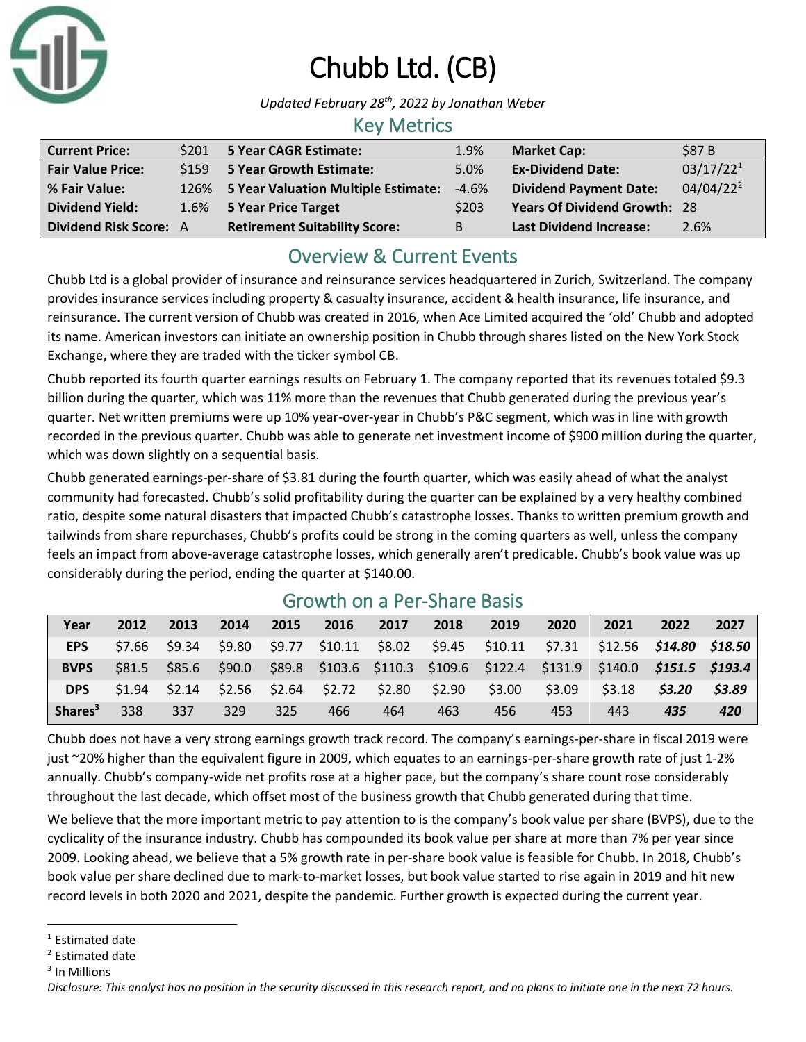

# Chubb Ltd. (CB)

*Updated February 28th, 2022 by Jonathan Weber*

### Key Metrics

| <b>Current Price:</b>         | \$201 5 Year CAGR Estimate:              | 1.9%    | <b>Market Cap:</b>                  | \$87 B                |
|-------------------------------|------------------------------------------|---------|-------------------------------------|-----------------------|
| <b>Fair Value Price:</b>      | \$159 5 Year Growth Estimate:            | 5.0%    | <b>Ex-Dividend Date:</b>            | 03/17/22 <sup>1</sup> |
| % Fair Value:                 | 126% 5 Year Valuation Multiple Estimate: | $-4.6%$ | <b>Dividend Payment Date:</b>       | $04/04/22^2$          |
| <b>Dividend Yield:</b>        | 1.6% 5 Year Price Target                 | \$203   | <b>Years Of Dividend Growth: 28</b> |                       |
| <b>Dividend Risk Score: A</b> | <b>Retirement Suitability Score:</b>     | B       | <b>Last Dividend Increase:</b>      | 2.6%                  |

## Overview & Current Events

Chubb Ltd is a global provider of insurance and reinsurance services headquartered in Zurich, Switzerland. The company provides insurance services including property & casualty insurance, accident & health insurance, life insurance, and reinsurance. The current version of Chubb was created in 2016, when Ace Limited acquired the 'old' Chubb and adopted its name. American investors can initiate an ownership position in Chubb through shares listed on the New York Stock Exchange, where they are traded with the ticker symbol CB.

Chubb reported its fourth quarter earnings results on February 1. The company reported that its revenues totaled \$9.3 billion during the quarter, which was 11% more than the revenues that Chubb generated during the previous year's quarter. Net written premiums were up 10% year-over-year in Chubb's P&C segment, which was in line with growth recorded in the previous quarter. Chubb was able to generate net investment income of \$900 million during the quarter, which was down slightly on a sequential basis.

Chubb generated earnings-per-share of \$3.81 during the fourth quarter, which was easily ahead of what the analyst community had forecasted. Chubb's solid profitability during the quarter can be explained by a very healthy combined ratio, despite some natural disasters that impacted Chubb's catastrophe losses. Thanks to written premium growth and tailwinds from share repurchases, Chubb's profits could be strong in the coming quarters as well, unless the company feels an impact from above-average catastrophe losses, which generally aren't predicable. Chubb's book value was up considerably during the period, ending the quarter at \$140.00.

| Year                | 2012   | 2013 | 2014 | 2015 | 2016 | 2017 | 2018                                            | 2019                                                                                                 | 2020          | 2021   | 2022   | 2027         |
|---------------------|--------|------|------|------|------|------|-------------------------------------------------|------------------------------------------------------------------------------------------------------|---------------|--------|--------|--------------|
| <b>EPS</b>          |        |      |      |      |      |      |                                                 | $$7.66$ $$9.34$ $$9.80$ $$9.77$ $$10.11$ $$8.02$ $$9.45$ $$10.11$ $$7.31$ $$12.56$ $$14.80$ $$18.50$ |               |        |        |              |
| <b>BVPS</b>         |        |      |      |      |      |      |                                                 | \$81.5 \$85.6 \$90.0 \$89.8 \$103.6 \$110.3 \$109.6 \$122.4 \$131.9 \$140.0 <b>\$151.5 \$193.4</b>   |               |        |        |              |
| <b>DPS</b>          | \$1.94 |      |      |      |      |      | $$2.14$ $$2.56$ $$2.64$ $$2.72$ $$2.80$ $$2.90$ |                                                                                                      | \$3.00 \$3.09 | \$3.18 | \$3.20 | <b>S3.89</b> |
| Shares <sup>3</sup> | 338    | 337  | 329  | 325  | 466  | 464  | 463                                             | 456                                                                                                  | 453           | 443    | 435    | 420          |

## Growth on a Per-Share Basis

Chubb does not have a very strong earnings growth track record. The company's earnings-per-share in fiscal 2019 were just ~20% higher than the equivalent figure in 2009, which equates to an earnings-per-share growth rate of just 1-2% annually. Chubb's company-wide net profits rose at a higher pace, but the company's share count rose considerably throughout the last decade, which offset most of the business growth that Chubb generated during that time.

We believe that the more important metric to pay attention to is the company's book value per share (BVPS), due to the cyclicality of the insurance industry. Chubb has compounded its book value per share at more than 7% per year since 2009. Looking ahead, we believe that a 5% growth rate in per-share book value is feasible for Chubb. In 2018, Chubb's book value per share declined due to mark-to-market losses, but book value started to rise again in 2019 and hit new record levels in both 2020 and 2021, despite the pandemic. Further growth is expected during the current year.

<sup>&</sup>lt;sup>1</sup> Estimated date

<sup>2</sup> Estimated date

<sup>3</sup> In Millions

*Disclosure: This analyst has no position in the security discussed in this research report, and no plans to initiate one in the next 72 hours.*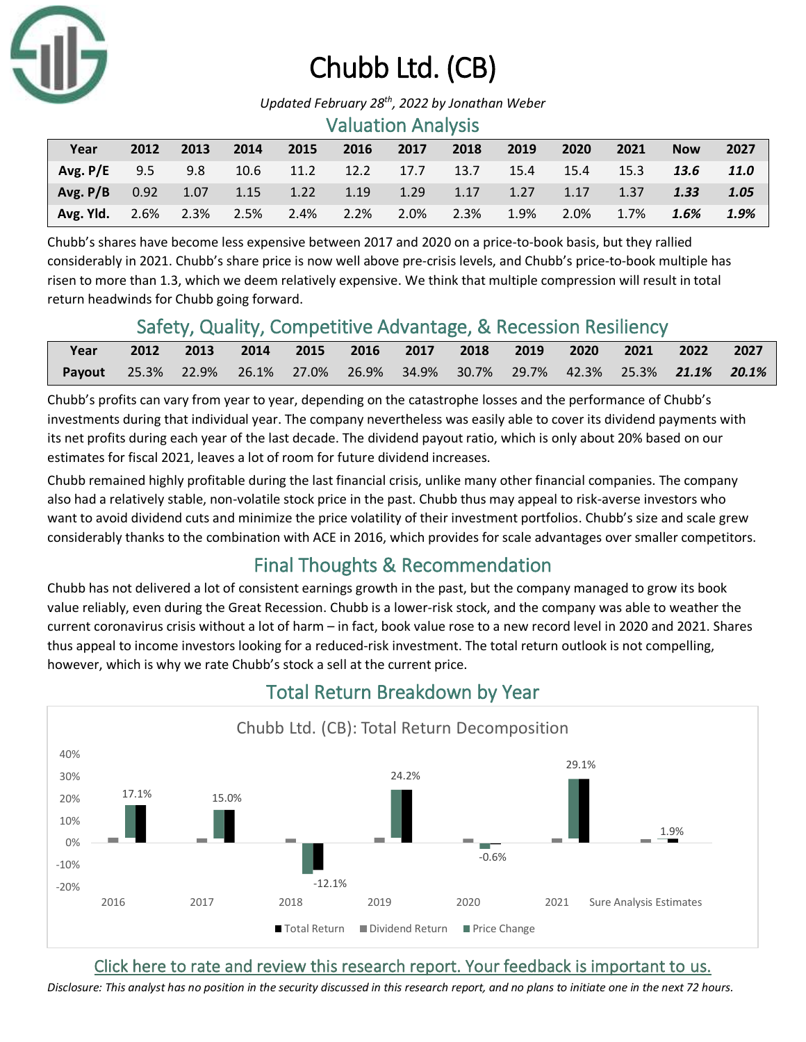

# Chubb Ltd. (CB)

*Updated February 28th, 2022 by Jonathan Weber*

#### Valuation Analysis

| Year                | 2012    | 2013    | 2014 | 2015    | 2016                          | 2017 | 2018 | 2019 | 2020    | 2021               | <b>Now</b> | 2027 |
|---------------------|---------|---------|------|---------|-------------------------------|------|------|------|---------|--------------------|------------|------|
| Avg. $P/E$          | 9.5 9.8 |         |      |         | 10.6 11.2 12.2 17.7 13.7 15.4 |      |      |      | 15.4    | $\sim$ 15.3 $\sim$ | 13.6       | 11.0 |
| $Avg.P/B$ 0.92 1.07 |         |         |      |         |                               |      |      |      |         | $\sim$ 1.37 $\sim$ | 1.33       | 1.05 |
| Avg. Yld.           | 2.6%    | $2.3\%$ | 2.5% | $2.4\%$ | 2.2%                          | 2.0% | 2.3% | 1.9% | $2.0\%$ | 1.7%               | 1.6%       | 1.9% |

Chubb's shares have become less expensive between 2017 and 2020 on a price-to-book basis, but they rallied considerably in 2021. Chubb's share price is now well above pre-crisis levels, and Chubb's price-to-book multiple has risen to more than 1.3, which we deem relatively expensive. We think that multiple compression will result in total return headwinds for Chubb going forward.

### Safety, Quality, Competitive Advantage, & Recession Resiliency

| Year                                                                           | 2012 2013 2014 2015 2016 2017 2018 2019 2020 2021 2022 2027 |  |  |  |  |  |
|--------------------------------------------------------------------------------|-------------------------------------------------------------|--|--|--|--|--|
| Payout 25.3% 22.9% 26.1% 27.0% 26.9% 34.9% 30.7% 29.7% 42.3% 25.3% 21.1% 20.1% |                                                             |  |  |  |  |  |

Chubb's profits can vary from year to year, depending on the catastrophe losses and the performance of Chubb's investments during that individual year. The company nevertheless was easily able to cover its dividend payments with its net profits during each year of the last decade. The dividend payout ratio, which is only about 20% based on our estimates for fiscal 2021, leaves a lot of room for future dividend increases.

Chubb remained highly profitable during the last financial crisis, unlike many other financial companies. The company also had a relatively stable, non-volatile stock price in the past. Chubb thus may appeal to risk-averse investors who want to avoid dividend cuts and minimize the price volatility of their investment portfolios. Chubb's size and scale grew considerably thanks to the combination with ACE in 2016, which provides for scale advantages over smaller competitors.

## Final Thoughts & Recommendation

Chubb has not delivered a lot of consistent earnings growth in the past, but the company managed to grow its book value reliably, even during the Great Recession. Chubb is a lower-risk stock, and the company was able to weather the current coronavirus crisis without a lot of harm – in fact, book value rose to a new record level in 2020 and 2021. Shares thus appeal to income investors looking for a reduced-risk investment. The total return outlook is not compelling, however, which is why we rate Chubb's stock a sell at the current price.



## Total Return Breakdown by Year

### [Click here to rate and review this research report. Your feedback is important to us.](https://suredividend.typeform.com/to/ScKeFu)

*Disclosure: This analyst has no position in the security discussed in this research report, and no plans to initiate one in the next 72 hours.*